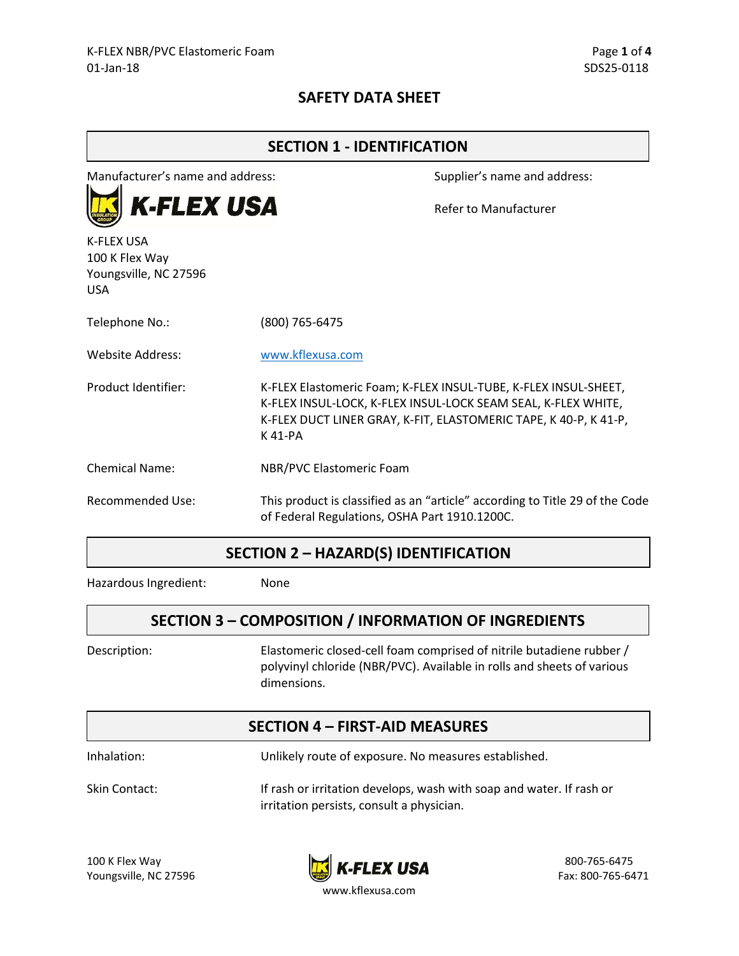## **SAFETY DATA SHEET**

| <b>SECTION 1 - IDENTIFICATION</b>                                          |                                               |                                                                                                                                                                                                      |  |
|----------------------------------------------------------------------------|-----------------------------------------------|------------------------------------------------------------------------------------------------------------------------------------------------------------------------------------------------------|--|
| Manufacturer's name and address:                                           |                                               | Supplier's name and address:                                                                                                                                                                         |  |
| <b>K-FLEX USA</b>                                                          |                                               | Refer to Manufacturer                                                                                                                                                                                |  |
| <b>K-FLEX USA</b><br>100 K Flex Way<br>Youngsville, NC 27596<br><b>USA</b> |                                               |                                                                                                                                                                                                      |  |
| Telephone No.:                                                             | (800) 765-6475                                |                                                                                                                                                                                                      |  |
| Website Address:                                                           | www.kflexusa.com                              |                                                                                                                                                                                                      |  |
| Product Identifier:                                                        | K 41-PA                                       | K-FLEX Elastomeric Foam; K-FLEX INSUL-TUBE, K-FLEX INSUL-SHEET,<br>K-FLEX INSUL-LOCK, K-FLEX INSUL-LOCK SEAM SEAL, K-FLEX WHITE,<br>K-FLEX DUCT LINER GRAY, K-FIT, ELASTOMERIC TAPE, K 40-P, K 41-P, |  |
| <b>Chemical Name:</b>                                                      | NBR/PVC Elastomeric Foam                      |                                                                                                                                                                                                      |  |
| <b>Recommended Use:</b>                                                    | of Federal Regulations, OSHA Part 1910.1200C. | This product is classified as an "article" according to Title 29 of the Code                                                                                                                         |  |

#### **SECTION 2 – HAZARD(S) IDENTIFICATION**

Hazardous Ingredient: None

## **SECTION 3 – COMPOSITION / INFORMATION OF INGREDIENTS**

Description: Elastomeric closed-cell foam comprised of nitrile butadiene rubber / polyvinyl chloride (NBR/PVC). Available in rolls and sheets of various dimensions.

#### **SECTION 4 – FIRST-AID MEASURES**

Inhalation: Unlikely route of exposure. No measures established.

Skin Contact: If rash or irritation develops, wash with soap and water. If rash or irritation persists, consult a physician.



www.kflexusa.com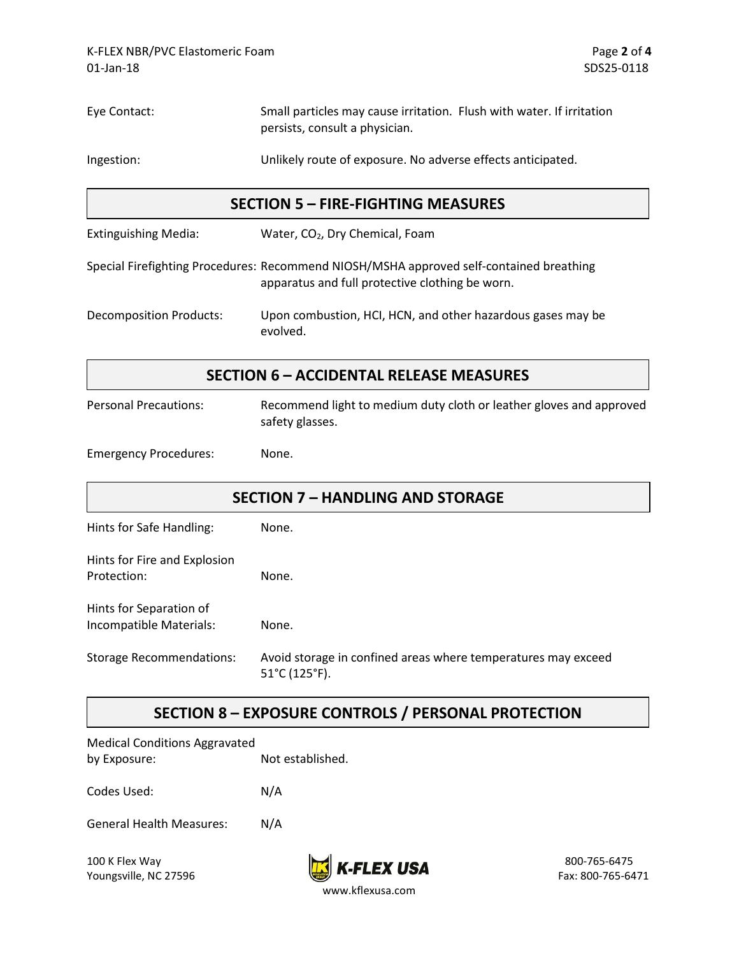| Eye Contact:                                       | Small particles may cause irritation. Flush with water. If irritation<br>persists, consult a physician.                                    |  |
|----------------------------------------------------|--------------------------------------------------------------------------------------------------------------------------------------------|--|
| Ingestion:                                         | Unlikely route of exposure. No adverse effects anticipated.                                                                                |  |
| <b>SECTION 5 - FIRE-FIGHTING MEASURES</b>          |                                                                                                                                            |  |
| <b>Extinguishing Media:</b>                        | Water, CO <sub>2</sub> , Dry Chemical, Foam                                                                                                |  |
|                                                    | Special Firefighting Procedures: Recommend NIOSH/MSHA approved self-contained breathing<br>apparatus and full protective clothing be worn. |  |
| <b>Decomposition Products:</b>                     | Upon combustion, HCI, HCN, and other hazardous gases may be<br>evolved.                                                                    |  |
|                                                    | <b>SECTION 6 - ACCIDENTAL RELEASE MEASURES</b>                                                                                             |  |
| <b>Personal Precautions:</b>                       | Recommend light to medium duty cloth or leather gloves and approved<br>safety glasses.                                                     |  |
| <b>Emergency Procedures:</b>                       | None.                                                                                                                                      |  |
| <b>SECTION 7 - HANDLING AND STORAGE</b>            |                                                                                                                                            |  |
| Hints for Safe Handling:                           | None.                                                                                                                                      |  |
| Hints for Fire and Explosion<br>Protection:        | None.                                                                                                                                      |  |
| Hints for Separation of<br>Incompatible Materials: | None.                                                                                                                                      |  |
| <b>Storage Recommendations:</b>                    | Avoid storage in confined areas where temperatures may exceed<br>51°C (125°F).                                                             |  |
|                                                    | TRAIC IREBCAL                                                                                                                              |  |

## **SECTION 8 – EXPOSURE CONTROLS / PERSONAL PROTECTION**

| <b>Medical Conditions Aggravated</b> |  |  |  |
|--------------------------------------|--|--|--|
| Not established.                     |  |  |  |
|                                      |  |  |  |
| N/A                                  |  |  |  |
|                                      |  |  |  |
| N/A                                  |  |  |  |
|                                      |  |  |  |

Youngsville, NC 27596

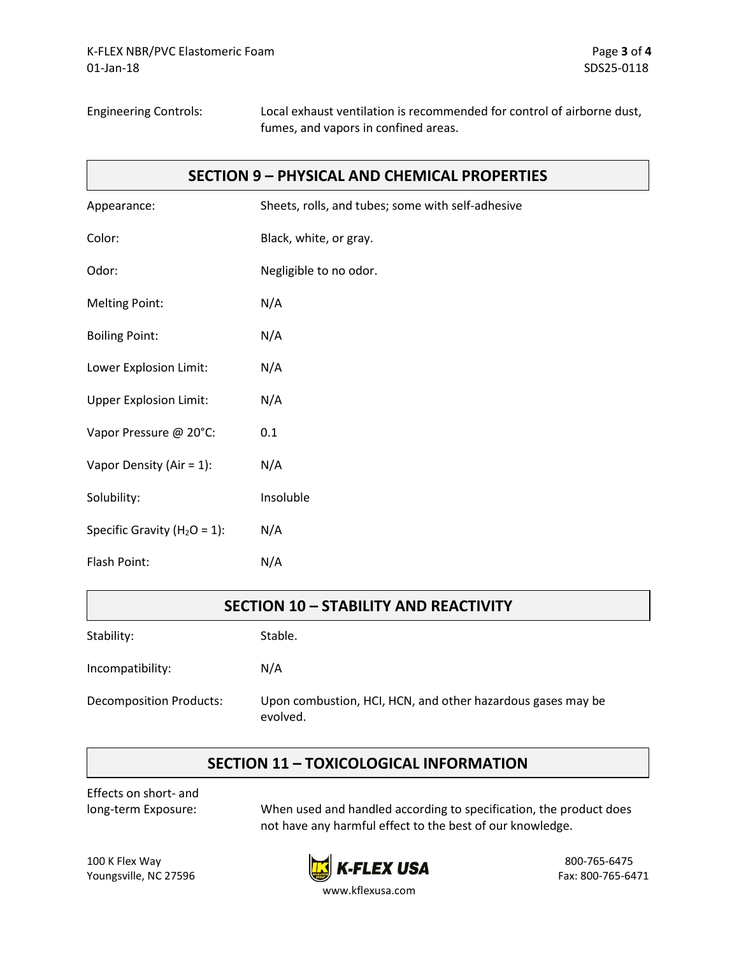Engineering Controls: Local exhaust ventilation is recommended for control of airborne dust, fumes, and vapors in confined areas.

#### **SECTION 9 – PHYSICAL AND CHEMICAL PROPERTIES**

| Appearance:                      | Sheets, rolls, and tubes; some with self-adhesive |
|----------------------------------|---------------------------------------------------|
| Color:                           | Black, white, or gray.                            |
| Odor:                            | Negligible to no odor.                            |
| <b>Melting Point:</b>            | N/A                                               |
| <b>Boiling Point:</b>            | N/A                                               |
| Lower Explosion Limit:           | N/A                                               |
| <b>Upper Explosion Limit:</b>    | N/A                                               |
| Vapor Pressure @ 20°C:           | 0.1                                               |
| Vapor Density (Air = $1$ ):      | N/A                                               |
| Solubility:                      | Insoluble                                         |
| Specific Gravity ( $H_2O = 1$ ): | N/A                                               |
| Flash Point:                     | N/A                                               |
|                                  |                                                   |

| <b>SECTION 10 - STABILITY AND REACTIVITY</b> |                                                                         |  |
|----------------------------------------------|-------------------------------------------------------------------------|--|
| Stability:                                   | Stable.                                                                 |  |
| Incompatibility:                             | N/A                                                                     |  |
| <b>Decomposition Products:</b>               | Upon combustion, HCI, HCN, and other hazardous gases may be<br>evolved. |  |

## **SECTION 11 – TOXICOLOGICAL INFORMATION**

Effects on short- and

long-term Exposure: When used and handled according to specification, the product does not have any harmful effect to the best of our knowledge.



www.kflexusa.com